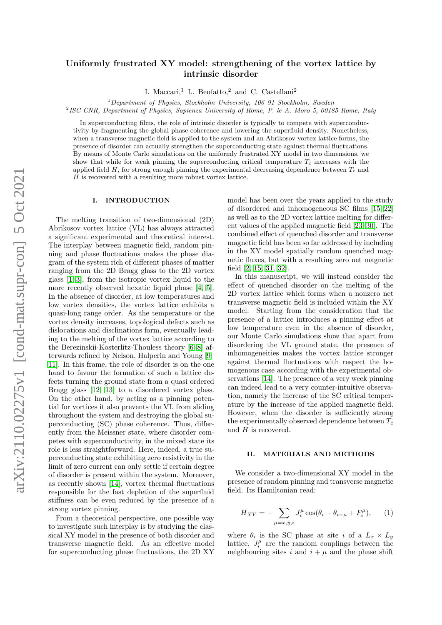# Uniformly frustrated XY model: strengthening of the vortex lattice by intrinsic disorder

I. Maccari,<sup>1</sup> L. Benfatto,<sup>2</sup> and C. Castellani<sup>2</sup>

 $1$ Department of Physics, Stockholm University, 106 91 Stockholm, Sweden

<sup>2</sup> ISC-CNR, Department of Physics, Sapienza University of Rome, P. le A. Moro 5, 00185 Rome, Italy

In superconducting films, the role of intrinsic disorder is typically to compete with superconductivity by fragmenting the global phase coherence and lowering the superfluid density. Nonetheless, when a transverse magnetic field is applied to the system and an Abrikosov vortex lattice forms, the presence of disorder can actually strengthen the superconducting state against thermal fluctuations. By means of Monte Carlo simulations on the uniformly frustrated XY model in two dimensions, we show that while for weak pinning the superconducting critical temperature  $T_c$  increases with the applied field  $H$ , for strong enough pinning the experimental decreasing dependence between  $T_c$  and H is recovered with a resulting more robust vortex lattice.

## I. INTRODUCTION

The melting transition of two-dimensional (2D) Abrikosov vortex lattice (VL) has always attracted a significant experimental and theoretical interest. The interplay between magnetic field, random pinning and phase fluctuations makes the phase diagram of the system rich of different phases of matter ranging from the 2D Bragg glass to the 2D vortex glass [\[1–](#page-5-0)[3\]](#page-5-1), from the isotropic vortex liquid to the more recently observed hexatic liquid phase [\[4,](#page-5-2) [5\]](#page-5-3). In the absence of disorder, at low temperatures and low vortex densities, the vortex lattice exhibits a quasi-long range order. As the temperature or the vortex density increases, topological defects such as dislocations and disclinations form, eventually leading to the melting of the vortex lattice according to the Berezinskii-Kosterlitz-Thouless theory [\[6–](#page-5-4)[8\]](#page-5-5) afterwards refined by Nelson, Halperin and Young [\[9–](#page-5-6) [11\]](#page-5-7). In this frame, the role of disorder is on the one hand to favour the formation of such a lattice defects turning the ground state from a quasi ordered Bragg glass [\[12,](#page-5-8) [13\]](#page-5-9) to a disordered vortex glass. On the other hand, by acting as a pinning potential for vortices it also prevents the VL from sliding throughout the system and destroying the global superconducting (SC) phase coherence. Thus, differently from the Meissner state, where disorder competes with superconductivity, in the mixed state its role is less straightforward. Here, indeed, a true superconducting state exhibiting zero resistivity in the limit of zero current can only settle if certain degree of disorder is present within the system. Moreover, as recently shown [\[14\]](#page-5-10), vortex thermal fluctuations responsible for the fast depletion of the superfluid stiffness can be even reduced by the presence of a strong vortex pinning.

From a theoretical perspective, one possible way to investigate such interplay is by studying the classical XY model in the presence of both disorder and transverse magnetic field. As an effective model for superconducting phase fluctuations, the 2D XY

model has been over the years applied to the study of disordered and inhomogeneous SC films [\[15](#page-6-0)[–22\]](#page-6-1) as well as to the 2D vortex lattice melting for different values of the applied magnetic field [\[23](#page-6-2)[–30\]](#page-6-3). The combined effect of quenched disorder and transverse magnetic field has been so far addressed by including in the XY model spatially random quenched magnetic fluxes, but with a resulting zero net magnetic field [\[2,](#page-5-11) [15,](#page-6-0) [31,](#page-6-4) [32\]](#page-6-5).

In this manuscript, we will instead consider the effect of quenched disorder on the melting of the 2D vortex lattice which forms when a nonzero net transverse magnetic field is included within the XY model. Starting from the consideration that the presence of a lattice introduces a pinning effect at low temperature even in the absence of disorder, our Monte Carlo simulations show that apart from disordering the VL ground state, the presence of inhomogeneities makes the vortex lattice stronger against thermal fluctuations with respect the homogenous case according with the experimental observations [\[14\]](#page-5-10). The presence of a very week pinning can indeed lead to a very counter-intuitive observation, namely the increase of the SC critical temperature by the increase of the applied magnetic field. However, when the disorder is sufficiently strong the experimentally observed dependence between  $T_c$ and  $H$  is recovered.

### II. MATERIALS AND METHODS

We consider a two-dimensional XY model in the presence of random pinning and transverse magnetic field. Its Hamiltonian read:

<span id="page-0-0"></span>
$$
H_{XY} = -\sum_{\mu = \hat{x}, \hat{y}, i} J_i^{\mu} \cos(\theta_i - \theta_{i+\mu} + F_i^{\mu}), \qquad (1)
$$

where  $\theta_i$  is the SC phase at site i of a  $L_x \times L_y$ lattice,  $J_i^{\mu}$  are the random couplings between the neighbouring sites i and  $i + \mu$  and the phase shift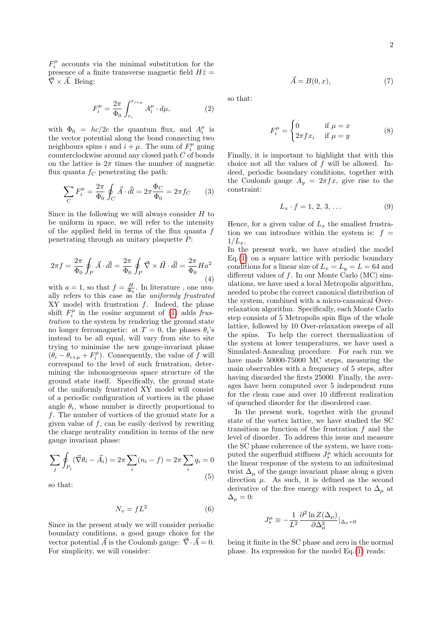$F_i^{\mu}$  accounts via the minimal substitution for the presence of a finite transverse magnetic field  $H\hat{z} =$  $\vec{\nabla} \times \vec{A}$ . Being:

$$
F_i^{\mu} = \frac{2\pi}{\Phi_0} \int_{r_i}^{r_{i+\mu}} A_i^{\mu} \cdot d\mu,\tag{2}
$$

with  $\Phi_0 = hc/2e$  the quantum flux, and  $A_i^{\mu}$  is the vector potential along the bond connecting two neighbours spins i and  $i + \mu$ . The sum of  $F_i^{\mu}$  going counterclockwise around any closed path C of bonds on the lattice is  $2\pi$  times the number of magnetic flux quanta  $f_C$  penetrating the path:

$$
\sum_C F_i^{\mu} = \frac{2\pi}{\Phi_0} \oint_C \vec{A} \cdot \vec{dl} = 2\pi \frac{\Phi_C}{\Phi_0} = 2\pi f_C \qquad (3)
$$

Since in the following we will always consider  $H$  to be uniform in space, we will refer to the intensity of the applied field in terms of the flux quanta f penetrating through an unitary plaquette P:

$$
2\pi f = \frac{2\pi}{\Phi_0} \oint_P \vec{A} \cdot \vec{dl} = \frac{2\pi}{\Phi_0} \oint_P \vec{\nabla} \times \vec{H} \cdot \vec{dl} = \frac{2\pi}{\Phi_0} H a^2
$$
\n(4)

with  $a = 1$ , so that  $f = \frac{H}{\Phi_0}$ . In literature, one usually refers to this case as the *uniformly frustrated*  $XY$  model with frustration  $f$ . Indeed, the phase shift  $F_i^{\mu}$  in the cosine argument of [\(1\)](#page-0-0) adds frustration to the system by rendering the ground state no longer ferromagnetic: at  $T=0$ , the phases  $\theta_i$ 's instead to be all equal, will vary from site to site trying to minimise the new gauge-invariant phase  $(\hat{\theta}_i - \hat{\theta}_{i+\mu} + F_i^{\mu})$ . Consequently, the value of  $f$  will correspond to the level of such frustration, determining the inhomogeneous space structure of the ground state itself. Specifically, the ground state of the uniformly frustrated XY model will consist of a periodic configuration of vortices in the phase angle  $\theta_i$ , whose number is directly proportional to f. The number of vortices of the ground state for a given value of  $f$ , can be easily derived by rewriting the charge neutrality condition in terms of the new gauge invariant phase:

$$
\sum_{j} \oint_{P_j} (\vec{\nabla}\theta_i - \vec{A}_i) = 2\pi \sum_{i} (n_i - f) = 2\pi \sum_{i} q_i = 0
$$
\n(5)

so that:

$$
N_v = fL^2 \tag{6}
$$

Since in the present study we will consider periodic boundary conditions, a good gauge choice for the vector potential  $\vec{A}$  is the Coulomb gauge:  $\vec{\nabla} \cdot \vec{A} = 0$ . For simplicity, we will consider:

so that:

$$
F_i^{\mu} = \begin{cases} 0 & \text{if } \mu = x \\ 2\pi f x_i & \text{if } \mu = y \end{cases}
$$
 (8)

 $\vec{A} = B(0, x),$  (7)

Finally, it is important to highlight that with this choice not all the values of  $f$  will be allowed. Indeed, periodic boundary conditions, together with the Coulomb gauge  $A_y = 2\pi f x$ , give rise to the constraint:

$$
L_x \cdot f = 1, 2, 3, \dots \tag{9}
$$

Hence, for a given value of  $L<sub>x</sub>$  the smallest frustration we can introduce within the system is:  $f =$  $1/L_{x}$ .

In the present work, we have studied the model  $Eq.(1)$  $Eq.(1)$  on a square lattice with periodic boundary conditions for a linear size of  $L_x = L_y = L = 64$  and different values of f. In our Monte Carlo (MC) simulations, we have used a local Metropolis algorithm, needed to probe the correct canonical distribution of the system, combined with a micro-canonical Overrelaxation algorithm. Specifically, each Monte Carlo step consists of 5 Metropolis spin flips of the whole lattice, followed by 10 Over-relaxation sweeps of all the spins. To help the correct thermalization of the system at lower temperatures, we have used a Simulated-Annealing procedure. For each run we have made 50000-75000 MC steps, measuring the main observables with a frequency of 5 steps, after having discarded the firsts 25000. Finally, the averages have been computed over 5 independent runs for the clean case and over 10 different realization of quenched disorder for the disordered case.

In the present work, together with the ground state of the vortex lattice, we have studied the SC transition as function of the frustration  $f$  and the level of disorder. To address this issue and measure the SC phase coherence of the system, we have computed the superfluid stiffness  $J_s^\mu$  which accounts for the linear response of the system to an infinitesimal twist  $\Delta_{\mu}$  of the gauge invariant phase along a given direction  $\mu$ . As such, it is defined as the second derivative of the free energy with respect to  $\Delta_{\mu}$  at  $\Delta_{\mu}=0:$ 

$$
J_s^\mu \equiv -\frac{1}{L^2} \frac{\partial^2 \ln Z(\Delta_\mu)}{\partial \Delta_\mu^2} |_{\Delta_\mu=0}
$$

being it finite in the SC phase and zero in the normal phase. Its expression for the model Eq.[\(1\)](#page-0-0) reads: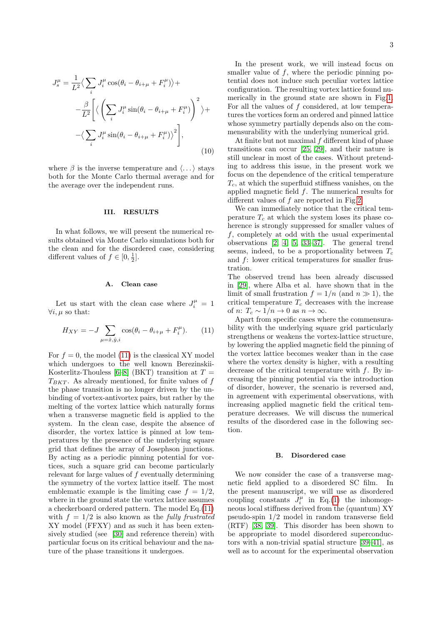$$
J_s^{\mu} = \frac{1}{L^2} \langle \sum_i J_i^{\mu} \cos(\theta_i - \theta_{i+\mu} + F_i^{\mu}) \rangle +
$$
  

$$
-\frac{\beta}{L^2} \left[ \langle \left( \sum_i J_i^{\mu} \sin(\theta_i - \theta_{i+\mu} + F_i^{\mu}) \right)^2 \rangle +
$$
  

$$
-\langle \sum_i J_i^{\mu} \sin(\theta_i - \theta_{i+\mu} + F_i^{\mu}) \rangle^2 \right],
$$
  
(10)

where  $\beta$  is the inverse temperature and  $\langle \ldots \rangle$  stays both for the Monte Carlo thermal average and for the average over the independent runs.

#### III. RESULTS

In what follows, we will present the numerical results obtained via Monte Carlo simulations both for the clean and for the disordered case, considering different values of  $f \in [0, \frac{1}{2}]$ .

#### A. Clean case

Let us start with the clean case where  $J_i^{\mu} = 1$  $\forall i, \mu$  so that:

<span id="page-2-0"></span>
$$
H_{XY} = -J \sum_{\mu = \hat{x}, \hat{y}, i} \cos(\theta_i - \theta_{i+\mu} + F_i^{\mu}). \tag{11}
$$

For  $f = 0$ , the model [\(11\)](#page-2-0) is the classical XY model which undergoes to the well known Berezinskii-Kosterlitz-Thouless [\[6](#page-5-4)[–8\]](#page-5-5) (BKT) transition at  $T =$  $T_{BKT}$ . As already mentioned, for finite values of f the phase transition is no longer driven by the unbinding of vortex-antivortex pairs, but rather by the melting of the vortex lattice which naturally forms when a transverse magnetic field is applied to the system. In the clean case, despite the absence of disorder, the vortex lattice is pinned at low temperatures by the presence of the underlying square grid that defines the array of Josephson junctions. By acting as a periodic pinning potential for vortices, such a square grid can become particularly relevant for large values of  $f$  eventually determining the symmetry of the vortex lattice itself. The most emblematic example is the limiting case  $f = 1/2$ , where in the ground state the vortex lattice assumes a checkerboard ordered pattern. The model Eq.[\(11\)](#page-2-0) with  $f = 1/2$  is also known as the fully frustrated XY model (FFXY) and as such it has been extensively studied (see [\[30\]](#page-6-3) and reference therein) with particular focus on its critical behaviour and the nature of the phase transitions it undergoes.

In the present work, we will instead focus on smaller value of  $f$ , where the periodic pinning potential does not induce such peculiar vortex lattice configuration. The resulting vortex lattice found numerically in the ground state are shown in Fig[.1.](#page-3-0) For all the values of  $f$  considered, at low temperatures the vortices form an ordered and pinned lattice whose symmetry partially depends also on the commensurability with the underlying numerical grid.

At finite but not maximal  $f$  different kind of phase transitions can occur [\[25,](#page-6-6) [29\]](#page-6-7), and their nature is still unclear in most of the cases. Without pretending to address this issue, in the present work we focus on the dependence of the critical temperature  $T_c$ , at which the superfluid stiffness vanishes, on the applied magnetic field f. The numerical results for different values of f are reported in Fig[.2.](#page-3-1)

We can immediately notice that the critical temperature  $T_c$  at which the system loses its phase coherence is strongly suppressed for smaller values of f, completely at odd with the usual experimental observations [\[2,](#page-5-11) [4,](#page-5-2) [5,](#page-5-3) [33](#page-6-8)[–37\]](#page-6-9). The general trend seems, indeed, to be a proportionality between  $T_c$ and f: lower critical temperatures for smaller frustration.

The observed trend has been already discussed in [\[29\]](#page-6-7), where Alba et al. have shown that in the limit of small frustration  $f = 1/n$  (and  $n \gg 1$ ), the critical temperature  $T_c$  decreases with the increase of *n*:  $T_c \sim 1/n \rightarrow 0$  as  $n \rightarrow \infty$ .

Apart from specific cases where the commensurability with the underlying square grid particularly strengthens or weakens the vortex-lattice structure, by lowering the applied magnetic field the pinning of the vortex lattice becomes weaker than in the case where the vortex density is higher, with a resulting decrease of the critical temperature with f. By increasing the pinning potential via the introduction of disorder, however, the scenario is reversed and, in agreement with experimental observations, with increasing applied magnetic field the critical temperature decreases. We will discuss the numerical results of the disordered case in the following section.

#### B. Disordered case

We now consider the case of a transverse magnetic field applied to a disordered SC film. In the present manuscript, we will use as disordered coupling constants  $J_i^{\mu}$  in Eq.[\(1\)](#page-0-0) the inhomogeneous local stiffness derived from the (quantum) XY pseudo-spin 1/2 model in random transverse field (RTF) [\[38,](#page-6-10) [39\]](#page-6-11). This disorder has been shown to be appropriate to model disordered superconductors with a non-trivial spatial structure [\[39–](#page-6-11)[41\]](#page-6-12), as well as to account for the experimental observation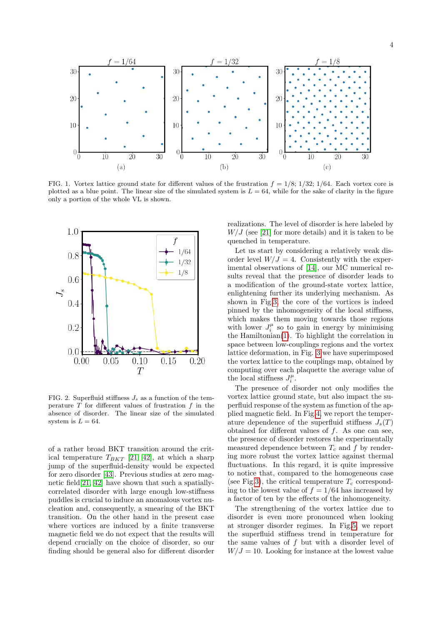

<span id="page-3-0"></span>FIG. 1. Vortex lattice ground state for different values of the frustration  $f = 1/8$ ;  $1/32$ ;  $1/64$ . Each vortex core is plotted as a blue point. The linear size of the simulated system is  $L = 64$ , while for the sake of clarity in the figure only a portion of the whole VL is shown.



<span id="page-3-1"></span>FIG. 2. Superfluid stiffness  $J_s$  as a function of the temperature  $T$  for different values of frustration  $f$  in the absence of disorder. The linear size of the simulated system is  $L = 64$ .

of a rather broad BKT transition around the critical temperature  $T_{BKT}$  [\[21,](#page-6-13) [42\]](#page-6-14), at which a sharp jump of the superfluid-density would be expected for zero disorder [\[43\]](#page-6-15). Previous studies at zero magnetic field[\[21,](#page-6-13) [42\]](#page-6-14) have shown that such a spatiallycorrelated disorder with large enough low-stiffness puddles is crucial to induce an anomalous vortex nucleation and, consequently, a smearing of the BKT transition. On the other hand in the present case where vortices are induced by a finite transverse magnetic field we do not expect that the results will depend crucially on the choice of disorder, so our finding should be general also for different disorder

realizations. The level of disorder is here labeled by  $W/J$  (see [\[21\]](#page-6-13) for more details) and it is taken to be quenched in temperature.

Let us start by considering a relatively weak disorder level  $W/J = 4$ . Consistently with the experimental observations of [\[14\]](#page-5-10), our MC numerical results reveal that the presence of disorder leads to a modification of the ground-state vortex lattice, enlightening further its underlying mechanism. As shown in Fig[.3,](#page-4-0) the core of the vortices is indeed pinned by the inhomogeneity of the local stiffness, which makes them moving towards those regions with lower  $J_i^{\mu}$  so to gain in energy by minimising the Hamiltonian[\(1\)](#page-0-0). To highlight the correlation in space between low-couplings regions and the vortex lattice deformation, in Fig. [3](#page-4-0) we have superimposed the vortex lattice to the couplings map, obtained by computing over each plaquette the average value of the local stiffness  $J_i^{\mu}$ .

The presence of disorder not only modifies the vortex lattice ground state, but also impact the superfluid response of the system as function of the applied magnetic field. In Fig[.4,](#page-4-1) we report the temperature dependence of the superfluid stiffness  $J_s(T)$ obtained for different values of  $f$ . As one can see, the presence of disorder restores the experimentally measured dependence between  $T_c$  and f by rendering more robust the vortex lattice against thermal fluctuations. In this regard, it is quite impressive to notice that, compared to the homogeneous case (see Fig[.3\)](#page-4-0), the critical temperature  $T_c$  corresponding to the lowest value of  $f = 1/64$  has increased by a factor of ten by the effects of the inhomogeneity.

The strengthening of the vortex lattice due to disorder is even more pronounced when looking at stronger disorder regimes. In Fig[.5,](#page-4-2) we report the superfluid stiffness trend in temperature for the same values of f but with a disorder level of  $W/J = 10$ . Looking for instance at the lowest value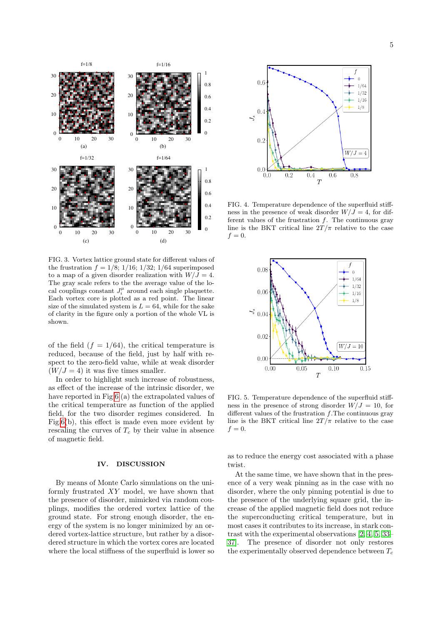

<span id="page-4-0"></span>FIG. 3. Vortex lattice ground state for different values of the frustration  $f = 1/8$ ; 1/16; 1/32; 1/64 superimposed to a map of a given disorder realization with  $W/J = 4$ . The gray scale refers to the the average value of the local couplings constant  $J_i^{\mu}$  around each single plaquette. Each vortex core is plotted as a red point. The linear size of the simulated system is  $L = 64$ , while for the sake of clarity in the figure only a portion of the whole VL is shown.

of the field  $(f = 1/64)$ , the critical temperature is reduced, because of the field, just by half with respect to the zero-field value, while at weak disorder  $(W/J = 4)$  it was five times smaller.

In order to highlight such increase of robustness, as effect of the increase of the intrinsic disorder, we have reported in Fig[.6](#page-5-12) (a) the extrapolated values of the critical temperature as function of the applied field, for the two disorder regimes considered. In Fig[.6\(](#page-5-12)b), this effect is made even more evident by rescaling the curves of  $T_c$  by their value in absence of magnetic field.

#### IV. DISCUSSION

By means of Monte Carlo simulations on the uniformly frustrated XY model, we have shown that the presence of disorder, mimicked via random couplings, modifies the ordered vortex lattice of the ground state. For strong enough disorder, the energy of the system is no longer minimized by an ordered vortex-lattice structure, but rather by a disordered structure in which the vortex cores are located where the local stiffness of the superfluid is lower so



<span id="page-4-1"></span>FIG. 4. Temperature dependence of the superfluid stiffness in the presence of weak disorder  $W/J = 4$ , for different values of the frustration f. The continuous gray line is the BKT critical line  $2T/\pi$  relative to the case  $f=0.$ 



<span id="page-4-2"></span>FIG. 5. Temperature dependence of the superfluid stiffness in the presence of strong disorder  $W/J = 10$ , for different values of the frustration  $f$ . The continuous gray line is the BKT critical line  $2T/\pi$  relative to the case  $f=0.$ 

as to reduce the energy cost associated with a phase twist.

At the same time, we have shown that in the presence of a very weak pinning as in the case with no disorder, where the only pinning potential is due to the presence of the underlying square grid, the increase of the applied magnetic field does not reduce the superconducting critical temperature, but in most cases it contributes to its increase, in stark contrast with the experimental observations [\[2,](#page-5-11) [4,](#page-5-2) [5,](#page-5-3) [33–](#page-6-8) [37\]](#page-6-9). The presence of disorder not only restores the experimentally observed dependence between  $T_c$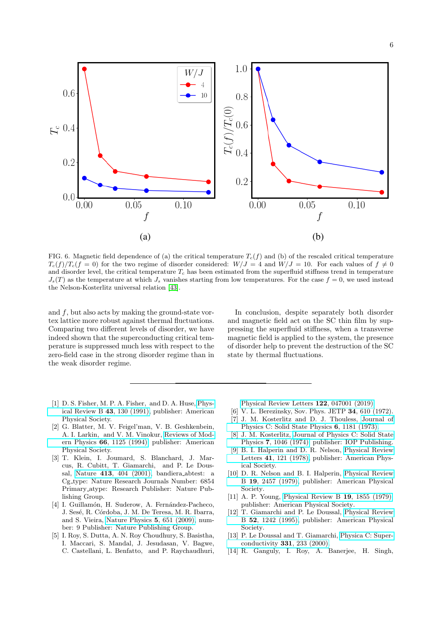

<span id="page-5-12"></span>FIG. 6. Magnetic field dependence of (a) the critical temperature  $T_c(f)$  and (b) of the rescaled critical temperature  $T_c(f)/T_c(f = 0)$  for the two regime of disorder considered:  $W/J = 4$  and  $W/J = 10$ . For each values of  $f \neq 0$ and disorder level, the critical temperature  $T_c$  has been estimated from the superfluid stiffness trend in temperature  $J_s(T)$  as the temperature at which  $J_s$  vanishes starting from low temperatures. For the case  $f = 0$ , we used instead the Nelson-Kosterlitz universal relation [\[43\]](#page-6-15).

and f, but also acts by making the ground-state vortex lattice more robust against thermal fluctuations. Comparing two different levels of disorder, we have indeed shown that the superconducting critical temperature is suppressed much less with respect to the zero-field case in the strong disorder regime than in the weak disorder regime.

In conclusion, despite separately both disorder and magnetic field act on the SC thin film by suppressing the superfluid stiffness, when a transverse magnetic field is applied to the system, the presence of disorder help to prevent the destruction of the SC state by thermal fluctuations.

- <span id="page-5-0"></span>[1] D. S. Fisher, M. P. A. Fisher, and D. A. Huse, [Phys](http://dx.doi.org/10.1103/PhysRevB.43.130)[ical Review B](http://dx.doi.org/10.1103/PhysRevB.43.130) 43, 130 (1991), publisher: American Physical Society.
- <span id="page-5-11"></span>[2] G. Blatter, M. V. Feigel'man, V. B. Geshkenbein, A. I. Larkin, and V. M. Vinokur, [Reviews of Mod](http://dx.doi.org/10.1103/RevModPhys.66.1125)ern Physics 66[, 1125 \(1994\),](http://dx.doi.org/10.1103/RevModPhys.66.1125) publisher: American Physical Society.
- <span id="page-5-1"></span>[3] T. Klein, I. Joumard, S. Blanchard, J. Marcus, R. Cubitt, T. Giamarchi, and P. Le Doussal, Nature 413[, 404 \(2001\),](http://dx.doi.org/10.1038/35096534) bandiera abtest: a Cg type: Nature Research Journals Number: 6854 Primary atype: Research Publisher: Nature Publishing Group.
- <span id="page-5-2"></span>[4] I. Guillamón, H. Suderow, A. Fernández-Pacheco, J. Sesé, R. Córdoba, J. M. De Teresa, M. R. Ibarra, and S. Vieira, [Nature Physics](http://dx.doi.org/ 10.1038/nphys1368) 5, 651 (2009), number: 9 Publisher: Nature Publishing Group.
- <span id="page-5-3"></span>[5] I. Roy, S. Dutta, A. N. Roy Choudhury, S. Basistha, I. Maccari, S. Mandal, J. Jesudasan, V. Bagwe, C. Castellani, L. Benfatto, and P. Raychaudhuri,

[Physical Review Letters](http://dx.doi.org/ 10.1103/PhysRevLett.122.047001) 122, 047001 (2019).

- <span id="page-5-4"></span>[6] V. L. Berezinsky, Sov. Phys. JETP **34**, 610 (1972).
- [7] J. M. Kosterlitz and D. J. Thouless, [Journal of](http://dx.doi.org/10.1088/0022-3719/6/7/010) [Physics C: Solid State Physics](http://dx.doi.org/10.1088/0022-3719/6/7/010) 6, 1181 (1973).
- <span id="page-5-5"></span>[8] J. M. Kosterlitz, [Journal of Physics C: Solid State](http://dx.doi.org/10.1088/0022-3719/7/6/005) Physics 7[, 1046 \(1974\),](http://dx.doi.org/10.1088/0022-3719/7/6/005) publisher: IOP Publishing.
- <span id="page-5-6"></span>[9] B. I. Halperin and D. R. Nelson, [Physical Review](http://dx.doi.org/10.1103/PhysRevLett.41.121) Letters 41[, 121 \(1978\),](http://dx.doi.org/10.1103/PhysRevLett.41.121) publisher: American Physical Society.
- [10] D. R. Nelson and B. I. Halperin, [Physical Review](http://dx.doi.org/10.1103/PhysRevB.19.2457) B 19[, 2457 \(1979\),](http://dx.doi.org/10.1103/PhysRevB.19.2457) publisher: American Physical Society.
- <span id="page-5-7"></span>[11] A. P. Young, [Physical Review B](http://dx.doi.org/10.1103/PhysRevB.19.1855) 19, 1855 (1979), publisher: American Physical Society.
- <span id="page-5-8"></span>[12] T. Giamarchi and P. Le Doussal, [Physical Review](http://dx.doi.org/10.1103/PhysRevB.52.1242) B 52[, 1242 \(1995\),](http://dx.doi.org/10.1103/PhysRevB.52.1242) publisher: American Physical Society.
- <span id="page-5-9"></span>[13] P. Le Doussal and T. Giamarchi, [Physica C: Super](http://dx.doi.org/10.1016/S0921-4534(00)00005-8)[conductivity](http://dx.doi.org/10.1016/S0921-4534(00)00005-8) 331, 233 (2000).
- <span id="page-5-10"></span>[14] R. Ganguly, I. Roy, A. Banerjee, H. Singh,